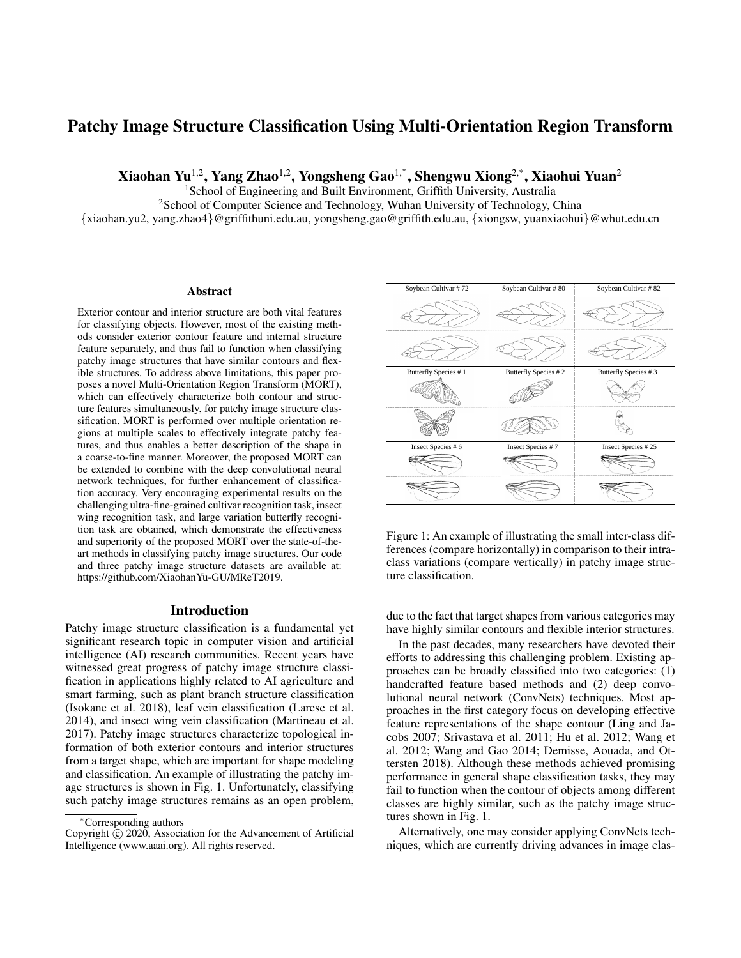# Patchy Image Structure Classification Using Multi-Orientation Region Transform

Xiaohan Yu<sup>1,2</sup>, Yang Zhao<sup>1,2</sup>, Yongsheng Gao<sup>1,\*</sup>, Shengwu Xiong<sup>2,\*</sup>, Xiaohui Yuan<sup>2</sup>

<sup>1</sup>School of Engineering and Built Environment, Griffith University, Australia

<sup>2</sup>School of Computer Science and Technology, Wuhan University of Technology, China

{xiaohan.yu2, yang.zhao4}@griffithuni.edu.au, yongsheng.gao@griffith.edu.au, {xiongsw, yuanxiaohui}@whut.edu.cn

#### **Abstract**

Exterior contour and interior structure are both vital features for classifying objects. However, most of the existing methods consider exterior contour feature and internal structure feature separately, and thus fail to function when classifying patchy image structures that have similar contours and flexible structures. To address above limitations, this paper proposes a novel Multi-Orientation Region Transform (MORT), which can effectively characterize both contour and structure features simultaneously, for patchy image structure classification. MORT is performed over multiple orientation regions at multiple scales to effectively integrate patchy features, and thus enables a better description of the shape in a coarse-to-fine manner. Moreover, the proposed MORT can be extended to combine with the deep convolutional neural network techniques, for further enhancement of classification accuracy. Very encouraging experimental results on the challenging ultra-fine-grained cultivar recognition task, insect wing recognition task, and large variation butterfly recognition task are obtained, which demonstrate the effectiveness and superiority of the proposed MORT over the state-of-theart methods in classifying patchy image structures. Our code and three patchy image structure datasets are available at: https://github.com/XiaohanYu-GU/MReT2019.

#### Introduction

Patchy image structure classification is a fundamental yet significant research topic in computer vision and artificial intelligence (AI) research communities. Recent years have witnessed great progress of patchy image structure classification in applications highly related to AI agriculture and smart farming, such as plant branch structure classification (Isokane et al. 2018), leaf vein classification (Larese et al. 2014), and insect wing vein classification (Martineau et al. 2017). Patchy image structures characterize topological information of both exterior contours and interior structures from a target shape, which are important for shape modeling and classification. An example of illustrating the patchy image structures is shown in Fig. 1. Unfortunately, classifying such patchy image structures remains as an open problem,



Figure 1: An example of illustrating the small inter-class differences (compare horizontally) in comparison to their intraclass variations (compare vertically) in patchy image structure classification.

due to the fact that target shapes from various categories may have highly similar contours and flexible interior structures.

In the past decades, many researchers have devoted their efforts to addressing this challenging problem. Existing approaches can be broadly classified into two categories: (1) handcrafted feature based methods and (2) deep convolutional neural network (ConvNets) techniques. Most approaches in the first category focus on developing effective feature representations of the shape contour (Ling and Jacobs 2007; Srivastava et al. 2011; Hu et al. 2012; Wang et al. 2012; Wang and Gao 2014; Demisse, Aouada, and Ottersten 2018). Although these methods achieved promising performance in general shape classification tasks, they may fail to function when the contour of objects among different classes are highly similar, such as the patchy image structures shown in Fig. 1.

Alternatively, one may consider applying ConvNets techniques, which are currently driving advances in image clas-

<sup>∗</sup>Corresponding authors

Copyright  $\hat{C}$  2020, Association for the Advancement of Artificial Intelligence (www.aaai.org). All rights reserved.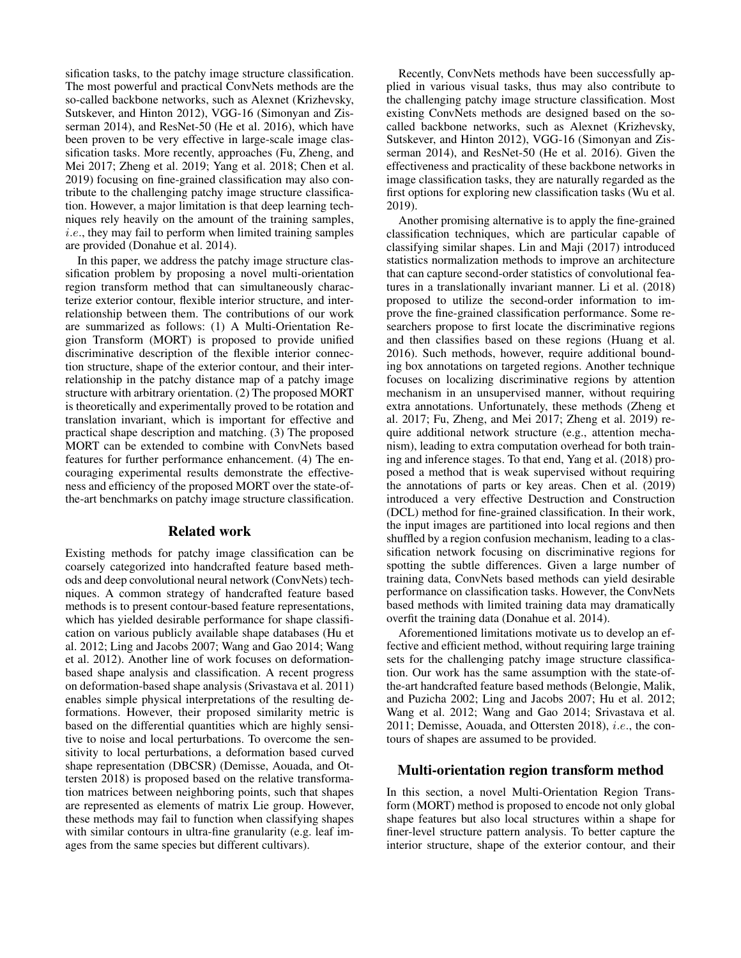sification tasks, to the patchy image structure classification. The most powerful and practical ConvNets methods are the so-called backbone networks, such as Alexnet (Krizhevsky, Sutskever, and Hinton 2012), VGG-16 (Simonyan and Zisserman 2014), and ResNet-50 (He et al. 2016), which have been proven to be very effective in large-scale image classification tasks. More recently, approaches (Fu, Zheng, and Mei 2017; Zheng et al. 2019; Yang et al. 2018; Chen et al. 2019) focusing on fine-grained classification may also contribute to the challenging patchy image structure classification. However, a major limitation is that deep learning techniques rely heavily on the amount of the training samples, i.e., they may fail to perform when limited training samples are provided (Donahue et al. 2014).

In this paper, we address the patchy image structure classification problem by proposing a novel multi-orientation region transform method that can simultaneously characterize exterior contour, flexible interior structure, and interrelationship between them. The contributions of our work are summarized as follows: (1) A Multi-Orientation Region Transform (MORT) is proposed to provide unified discriminative description of the flexible interior connection structure, shape of the exterior contour, and their interrelationship in the patchy distance map of a patchy image structure with arbitrary orientation. (2) The proposed MORT is theoretically and experimentally proved to be rotation and translation invariant, which is important for effective and practical shape description and matching. (3) The proposed MORT can be extended to combine with ConvNets based features for further performance enhancement. (4) The encouraging experimental results demonstrate the effectiveness and efficiency of the proposed MORT over the state-ofthe-art benchmarks on patchy image structure classification.

## Related work

Existing methods for patchy image classification can be coarsely categorized into handcrafted feature based methods and deep convolutional neural network (ConvNets) techniques. A common strategy of handcrafted feature based methods is to present contour-based feature representations, which has yielded desirable performance for shape classification on various publicly available shape databases (Hu et al. 2012; Ling and Jacobs 2007; Wang and Gao 2014; Wang et al. 2012). Another line of work focuses on deformationbased shape analysis and classification. A recent progress on deformation-based shape analysis (Srivastava et al. 2011) enables simple physical interpretations of the resulting deformations. However, their proposed similarity metric is based on the differential quantities which are highly sensitive to noise and local perturbations. To overcome the sensitivity to local perturbations, a deformation based curved shape representation (DBCSR) (Demisse, Aouada, and Ottersten 2018) is proposed based on the relative transformation matrices between neighboring points, such that shapes are represented as elements of matrix Lie group. However, these methods may fail to function when classifying shapes with similar contours in ultra-fine granularity (e.g. leaf images from the same species but different cultivars).

Recently, ConvNets methods have been successfully applied in various visual tasks, thus may also contribute to the challenging patchy image structure classification. Most existing ConvNets methods are designed based on the socalled backbone networks, such as Alexnet (Krizhevsky, Sutskever, and Hinton 2012), VGG-16 (Simonyan and Zisserman 2014), and ResNet-50 (He et al. 2016). Given the effectiveness and practicality of these backbone networks in image classification tasks, they are naturally regarded as the first options for exploring new classification tasks (Wu et al. 2019).

Another promising alternative is to apply the fine-grained classification techniques, which are particular capable of classifying similar shapes. Lin and Maji (2017) introduced statistics normalization methods to improve an architecture that can capture second-order statistics of convolutional features in a translationally invariant manner. Li et al. (2018) proposed to utilize the second-order information to improve the fine-grained classification performance. Some researchers propose to first locate the discriminative regions and then classifies based on these regions (Huang et al. 2016). Such methods, however, require additional bounding box annotations on targeted regions. Another technique focuses on localizing discriminative regions by attention mechanism in an unsupervised manner, without requiring extra annotations. Unfortunately, these methods (Zheng et al. 2017; Fu, Zheng, and Mei 2017; Zheng et al. 2019) require additional network structure (e.g., attention mechanism), leading to extra computation overhead for both training and inference stages. To that end, Yang et al. (2018) proposed a method that is weak supervised without requiring the annotations of parts or key areas. Chen et al. (2019) introduced a very effective Destruction and Construction (DCL) method for fine-grained classification. In their work, the input images are partitioned into local regions and then shuffled by a region confusion mechanism, leading to a classification network focusing on discriminative regions for spotting the subtle differences. Given a large number of training data, ConvNets based methods can yield desirable performance on classification tasks. However, the ConvNets based methods with limited training data may dramatically overfit the training data (Donahue et al. 2014).

Aforementioned limitations motivate us to develop an effective and efficient method, without requiring large training sets for the challenging patchy image structure classification. Our work has the same assumption with the state-ofthe-art handcrafted feature based methods (Belongie, Malik, and Puzicha 2002; Ling and Jacobs 2007; Hu et al. 2012; Wang et al. 2012; Wang and Gao 2014; Srivastava et al. 2011; Demisse, Aouada, and Ottersten 2018), i.e., the contours of shapes are assumed to be provided.

### Multi-orientation region transform method

In this section, a novel Multi-Orientation Region Transform (MORT) method is proposed to encode not only global shape features but also local structures within a shape for finer-level structure pattern analysis. To better capture the interior structure, shape of the exterior contour, and their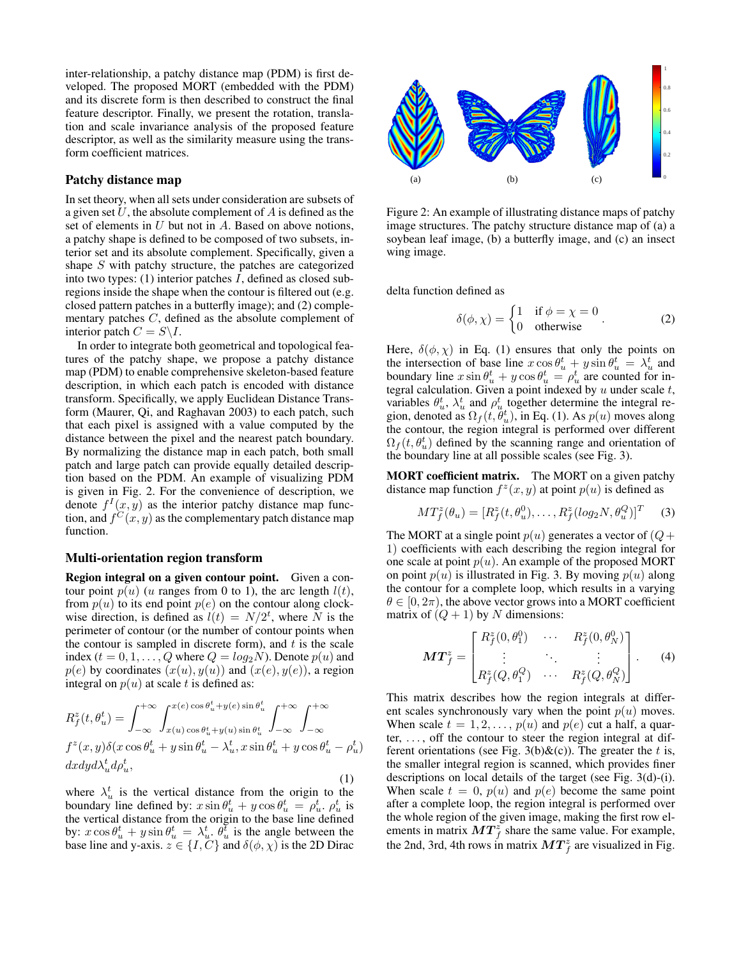inter-relationship, a patchy distance map (PDM) is first developed. The proposed MORT (embedded with the PDM) and its discrete form is then described to construct the final feature descriptor. Finally, we present the rotation, translation and scale invariance analysis of the proposed feature descriptor, as well as the similarity measure using the transform coefficient matrices.

#### Patchy distance map

In set theory, when all sets under consideration are subsets of a given set  $U$ , the absolute complement of  $A$  is defined as the set of elements in  $U$  but not in  $A$ . Based on above notions, a patchy shape is defined to be composed of two subsets, interior set and its absolute complement. Specifically, given a shape S with patchy structure, the patches are categorized into two types:  $(1)$  interior patches  $I$ , defined as closed subregions inside the shape when the contour is filtered out (e.g. closed pattern patches in a butterfly image); and (2) complementary patches C, defined as the absolute complement of interior patch  $C = S \backslash I$ .

In order to integrate both geometrical and topological features of the patchy shape, we propose a patchy distance map (PDM) to enable comprehensive skeleton-based feature description, in which each patch is encoded with distance transform. Specifically, we apply Euclidean Distance Transform (Maurer, Qi, and Raghavan 2003) to each patch, such that each pixel is assigned with a value computed by the distance between the pixel and the nearest patch boundary. By normalizing the distance map in each patch, both small patch and large patch can provide equally detailed description based on the PDM. An example of visualizing PDM is given in Fig. 2. For the convenience of description, we denote  $f^{I}(x, y)$  as the interior patchy distance map function, and  $f^{C}(x, y)$  as the complementary patch distance map function.

#### Multi-orientation region transform

Region integral on a given contour point. Given a contour point  $p(u)$  (u ranges from 0 to 1), the arc length  $l(t)$ , from  $p(u)$  to its end point  $p(e)$  on the contour along clockwise direction, is defined as  $l(t) = N/2^t$ , where N is the perimeter of contour (or the number of contour points when the contour is sampled in discrete form), and  $t$  is the scale index ( $t = 0, 1, \ldots, Q$  where  $Q = log_2 N$ ). Denote  $p(u)$  and  $p(e)$  by coordinates  $(x(u), y(u))$  and  $(x(e), y(e))$ , a region integral on  $p(u)$  at scale t is defined as:

$$
R_f^z(t, \theta_u^t) = \int_{-\infty}^{+\infty} \int_{x(u)\cos\theta_u^t + y(e)\sin\theta_u^t}^{x(e)\cos\theta_u^t + y(e)\sin\theta_u^t} \int_{-\infty}^{+\infty} \int_{-\infty}^{+\infty} dx dy d\lambda_u^t d\rho_u^t,
$$
  
\n
$$
dx dy d\lambda_u^t d\rho_u^t,
$$
\n(1)

where  $\lambda_u^t$  is the vertical distance from the origin to the boundary line defined by:  $x \sin \theta_u^t + y \cos \theta_u^t = \rho_u^t$ .  $\rho_u^t$  is the vertical distance from the origin to the base line defined by:  $x \cos \theta_u^t + y \sin \theta_u^t = \lambda_u^t \theta_u^t$  is the angle between the base line and y-axis.  $z \in \{I, C\}$  and  $\delta(\phi, \chi)$  is the 2D Dirac



Figure 2: An example of illustrating distance maps of patchy image structures. The patchy structure distance map of (a) a soybean leaf image, (b) a butterfly image, and (c) an insect wing image.

delta function defined as

$$
\delta(\phi, \chi) = \begin{cases} 1 & \text{if } \phi = \chi = 0 \\ 0 & \text{otherwise} \end{cases} (2)
$$

Here,  $\delta(\phi, \chi)$  in Eq. (1) ensures that only the points on the intersection of base line  $x \cos \theta_u^t + y \sin \theta_u^t = \lambda_u^t$  and boundary line  $x \sin \theta_u^t + y \cos \theta_u^t = \rho_u^t$  are counted for integral calculation. Given a point indexed by  $u$  under scale  $t$ , variables  $\theta_u^t$ ,  $\lambda_u^t$  and  $\rho_u^t$  together determine the integral region, denoted as  $\Omega_f(t, \theta_u^t)$ , in Eq. (1). As  $p(u)$  moves along the contour, the region integral is performed over different  $\Omega_f(t, \theta_u^t)$  defined by the scanning range and orientation of the boundary line at all possible scales (see Fig. 3).

MORT coefficient matrix. The MORT on a given patchy distance map function  $f^z(x, y)$  at point  $p(u)$  is defined as

$$
MT_f^z(\theta_u) = [R_f^z(t, \theta_u^0), \dots, R_f^z(log_2N, \theta_u^Q)]^T
$$
 (3)

The MORT at a single point  $p(u)$  generates a vector of  $(Q +$ 1) coefficients with each describing the region integral for one scale at point  $p(u)$ . An example of the proposed MORT on point  $p(u)$  is illustrated in Fig. 3. By moving  $p(u)$  along the contour for a complete loop, which results in a varying  $\theta \in [0, 2\pi)$ , the above vector grows into a MORT coefficient matrix of  $(Q + 1)$  by N dimensions:

$$
\boldsymbol{MT}_{f}^{z} = \begin{bmatrix} R_{f}^{z}(0, \theta_{1}^{0}) & \cdots & R_{f}^{z}(0, \theta_{N}^{0}) \\ \vdots & \ddots & \vdots \\ R_{f}^{z}(Q, \theta_{1}^{Q}) & \cdots & R_{f}^{z}(Q, \theta_{N}^{Q}) \end{bmatrix} . \tag{4}
$$

This matrix describes how the region integrals at different scales synchronously vary when the point  $p(u)$  moves. When scale  $t = 1, 2, \ldots, p(u)$  and  $p(e)$  cut a half, a quarter,  $\dots$ , off the contour to steer the region integral at different orientations (see Fig. 3(b) $\&c)$ ). The greater the t is, the smaller integral region is scanned, which provides finer descriptions on local details of the target (see Fig. 3(d)-(i). When scale  $t = 0$ ,  $p(u)$  and  $p(e)$  become the same point after a complete loop, the region integral is performed over the whole region of the given image, making the first row elements in matrix  $MT^z_f$  share the same value. For example, the 2nd, 3rd, 4th rows in matrix  $MT_f^z$  are visualized in Fig.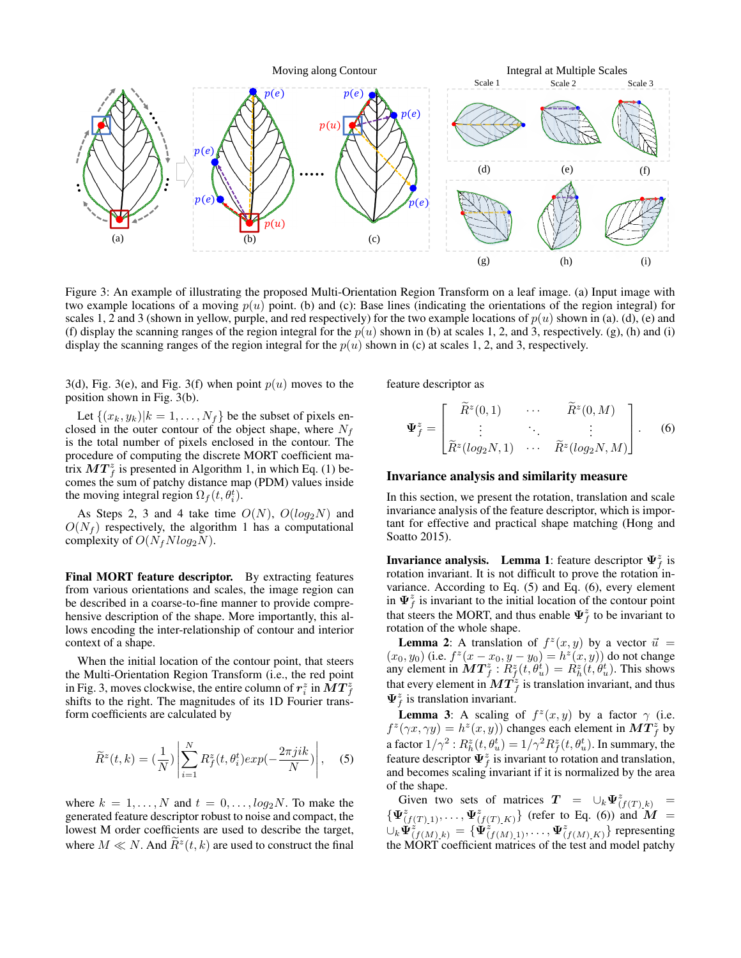

Figure 3: An example of illustrating the proposed Multi-Orientation Region Transform on a leaf image. (a) Input image with two example locations of a moving  $p(u)$  point. (b) and (c): Base lines (indicating the orientations of the region integral) for scales 1, 2 and 3 (shown in yellow, purple, and red respectively) for the two example locations of  $p(u)$  shown in (a). (d), (e) and (f) display the scanning ranges of the region integral for the  $p(u)$  shown in (b) at scales 1, 2, and 3, respectively. (g), (h) and (i) display the scanning ranges of the region integral for the  $p(u)$  shown in (c) at scales 1, 2, and 3, respectively.

3(d), Fig. 3(e), and Fig. 3(f) when point  $p(u)$  moves to the position shown in Fig. 3(b).

Let  $\{(x_k, y_k)|k = 1, \ldots, N_f\}$  be the subset of pixels enclosed in the outer contour of the object shape, where  $N_f$ is the total number of pixels enclosed in the contour. The procedure of computing the discrete MORT coefficient matrix  $MT<sub>f</sub><sup>z</sup>$  is presented in Algorithm 1, in which Eq. (1) becomes the sum of patchy distance map (PDM) values inside the moving integral region  $\Omega_f(t, \theta_i^t)$ .

As Steps 2, 3 and 4 take time  $O(N)$ ,  $O(log_2N)$  and  $O(N_f)$  respectively, the algorithm 1 has a computational complexity of  $O(N_fNlog_2N)$ .

Final MORT feature descriptor. By extracting features from various orientations and scales, the image region can be described in a coarse-to-fine manner to provide comprehensive description of the shape. More importantly, this allows encoding the inter-relationship of contour and interior context of a shape.

When the initial location of the contour point, that steers the Multi-Orientation Region Transform (i.e., the red point in Fig. 3, moves clockwise, the entire column of  $r_i^z$  in  $\dot{M}T_f^z$ shifts to the right. The magnitudes of its 1D Fourier transform coefficients are calculated by

$$
\widetilde{R}^{z}(t,k) = \left(\frac{1}{N}\right) \left| \sum_{i=1}^{N} R_{f}^{z}(t, \theta_{i}^{t}) exp\left(-\frac{2\pi jik}{N}\right) \right|, \quad (5)
$$

where  $k = 1, \ldots, N$  and  $t = 0, \ldots, \log_2 N$ . To make the generated feature descriptor robust to noise and compact, the lowest M order coefficients are used to describe the target, where  $M \ll N$ . And  $\tilde{R}^z(t, k)$  are used to construct the final

feature descriptor as

$$
\Psi_f^z = \begin{bmatrix} \widetilde{R}^z(0,1) & \cdots & \widetilde{R}^z(0,M) \\ \vdots & \ddots & \vdots \\ \widetilde{R}^z(log_2N,1) & \cdots & \widetilde{R}^z(log_2N,M) \end{bmatrix} .
$$
 (6)

#### Invariance analysis and similarity measure

In this section, we present the rotation, translation and scale invariance analysis of the feature descriptor, which is important for effective and practical shape matching (Hong and Soatto 2015).

**Invariance analysis.** Lemma 1: feature descriptor  $\Psi_f^z$  is rotation invariant. It is not difficult to prove the rotation invariance. According to Eq. (5) and Eq. (6), every element in  $\Psi_f^z$  is invariant to the initial location of the contour point that steers the MORT, and thus enable  $\Psi_f^z$  to be invariant to rotation of the whole shape.

**Lemma 2:** A translation of  $f^z(x, y)$  by a vector  $\vec{u}$  =  $(x_0, y_0)$  (i.e.  $f^z(x - x_0, y - y_0) = h^z(x, y)$ ) do not change any element in  $\overline{MT_f^z}$ :  $\overline{R_f^z}(t, \theta_u^t) = \overline{R_h^z}(t, \theta_u^t)$ . This shows that every element in  $\boldsymbol{MT}_{f}^z$  is translation invariant, and thus  $\Psi_f^z$  is translation invariant.

**Lemma 3:** A scaling of  $f^z(x, y)$  by a factor  $\gamma$  (i.e.  $f^z(\gamma x, \gamma y) = h^z(x, y)$  changes each element in  $\boldsymbol{MT}_f^z$  by a factor  $1/\gamma^2$  :  $R_h^z(t,\theta_u^t)=1/\gamma^2 R_f^z(t,\theta_u^t)$ . In summary, the feature descriptor  $\Psi_f^z$  is invariant to rotation and translation, and becomes scaling invariant if it is normalized by the area of the shape.

Given two sets of matrices  $T = \bigcup_k \Psi^z_{(f(T),k)}$  =  $\{\Psi^z_{(f(T),1)},\ldots,\Psi^z_{(f(T),K)}\}$  (refer to Eq. (6)) and  $\hat{M}$  =  $\cup_k \check{\Psi}_{(f(M),k)}^{\check{z}} = \{ \check{\Psi}_{(f(M),1)}^{\check{z}}, \ldots, \Psi_{(f(M),K)}^{\check{z}} \}$  representing the MORT coefficient matrices of the test and model patchy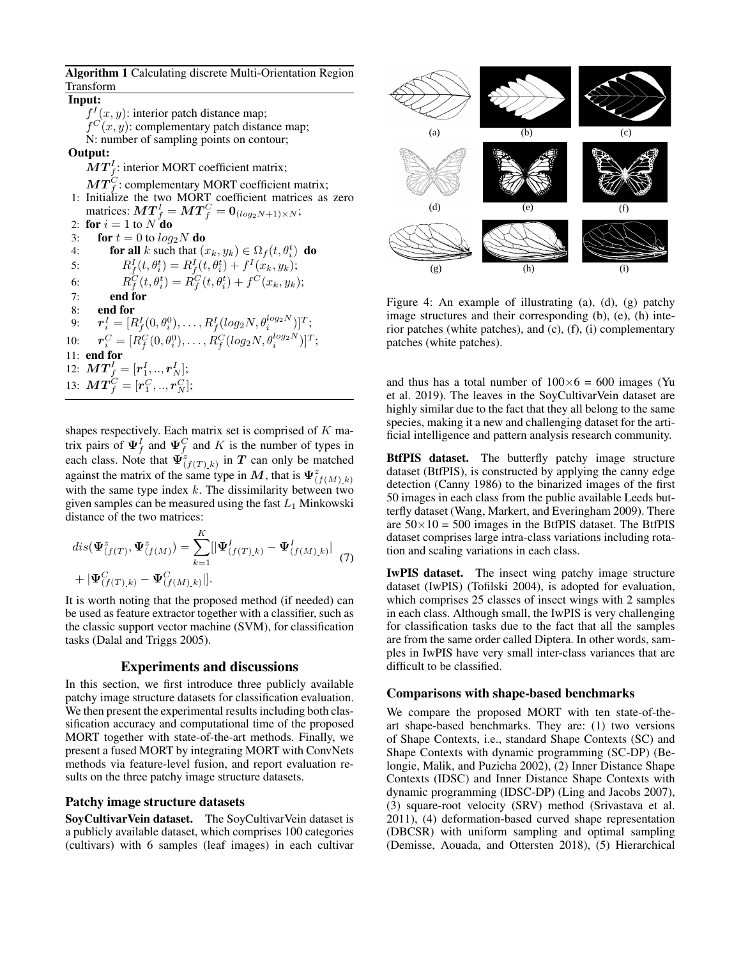Algorithm 1 Calculating discrete Multi-Orientation Region Transform

Input:

 $f^{I}(x, y)$ : interior patch distance map;  $f^C(x, y)$ : complementary patch distance map; N: number of sampling points on contour; Output:  $\boldsymbol{MT}_f^I$ : interior MORT coefficient matrix;  $\boldsymbol{MT}_f^C$ : complementary MORT coefficient matrix; 1: Initialize the two MORT coefficient matrices as zero matrices:  $\boldsymbol{MT}_f^I = \boldsymbol{MT}_f^C = \boldsymbol{0}_{(log_2 N + 1) \times N}$ ; 2: for  $i = 1$  to  $N$  do 3: for  $t = 0$  to  $log_2N$  do 4: **for all** k such that  $(x_k, y_k) \in \Omega_f(t, \theta_i^t)$  **do** 5:  $R_f^I(t, \theta_i^t) = R_f^I(t, \theta_i^t) + f^I(x_k, y_k);$ 6:  $R_f^C(t, \theta_i^t) = R_f^C(t, \theta_i^t) + f^C(x_k, y_k);$ 7: end for 8: end for 9:  $\bm{r}_i^I = [R_f^I(0,\theta_i^0),\ldots,R_f^I(log_2N,\theta_i^{log_2N})]^T;$ 

 $10:$  $C_i^C = [R_f^C(0, \theta_i^0), \dots, R_f^C(log_2N, \theta_i^{log_2N})]^T;$ 11: end for

12:  $\bm{MT}_f^I = [\bm{r}_1^I,..,\bm{r}_N^I];$ 13:  $\bm{MT}_f^C = [\bm{r}_1^C,..,\bm{r}_N^C];$ 

shapes respectively. Each matrix set is comprised of  $K$  matrix pairs of  $\Psi_f^I$  and  $\Psi_f^C$  and K is the number of types in each class. Note that  $\vec{\Psi}_{(f(T),k)}^z$  in T can only be matched against the matrix of the same type in M, that is  $\Psi^z_{(f(M),k)}$ with the same type index  $k$ . The dissimilarity between two given samples can be measured using the fast  $L_1$  Minkowski distance of the two matrices:

$$
dis(\Psi^z_{(f(T), \Psi^z_{(f(M))})}) = \sum_{k=1}^K [|\Psi^I_{(f(T), k)} - \Psi^I_{(f(M), k)}|
$$
  
+  $|\Psi^C_{(f(T), k)} - \Psi^C_{(f(M), k)}|].$  (7)

It is worth noting that the proposed method (if needed) can be used as feature extractor together with a classifier, such as the classic support vector machine (SVM), for classification tasks (Dalal and Triggs 2005).

#### Experiments and discussions

In this section, we first introduce three publicly available patchy image structure datasets for classification evaluation. We then present the experimental results including both classification accuracy and computational time of the proposed MORT together with state-of-the-art methods. Finally, we present a fused MORT by integrating MORT with ConvNets methods via feature-level fusion, and report evaluation results on the three patchy image structure datasets.

#### Patchy image structure datasets

SoyCultivarVein dataset. The SoyCultivarVein dataset is a publicly available dataset, which comprises 100 categories (cultivars) with 6 samples (leaf images) in each cultivar



Figure 4: An example of illustrating (a), (d), (g) patchy image structures and their corresponding (b), (e), (h) interior patches (white patches), and (c), (f), (i) complementary patches (white patches).

and thus has a total number of  $100\times 6 = 600$  images (Yu et al. 2019). The leaves in the SoyCultivarVein dataset are highly similar due to the fact that they all belong to the same species, making it a new and challenging dataset for the artificial intelligence and pattern analysis research community.

BtfPIS dataset. The butterfly patchy image structure dataset (BtfPIS), is constructed by applying the canny edge detection (Canny 1986) to the binarized images of the first 50 images in each class from the public available Leeds butterfly dataset (Wang, Markert, and Everingham 2009). There are  $50 \times 10 = 500$  images in the BtfPIS dataset. The BtfPIS dataset comprises large intra-class variations including rotation and scaling variations in each class.

IwPIS dataset. The insect wing patchy image structure dataset (IwPIS) (Tofilski 2004), is adopted for evaluation, which comprises 25 classes of insect wings with 2 samples in each class. Although small, the IwPIS is very challenging for classification tasks due to the fact that all the samples are from the same order called Diptera. In other words, samples in IwPIS have very small inter-class variances that are difficult to be classified.

#### Comparisons with shape-based benchmarks

We compare the proposed MORT with ten state-of-theart shape-based benchmarks. They are: (1) two versions of Shape Contexts, i.e., standard Shape Contexts (SC) and Shape Contexts with dynamic programming (SC-DP) (Belongie, Malik, and Puzicha 2002), (2) Inner Distance Shape Contexts (IDSC) and Inner Distance Shape Contexts with dynamic programming (IDSC-DP) (Ling and Jacobs 2007), (3) square-root velocity (SRV) method (Srivastava et al. 2011), (4) deformation-based curved shape representation (DBCSR) with uniform sampling and optimal sampling (Demisse, Aouada, and Ottersten 2018), (5) Hierarchical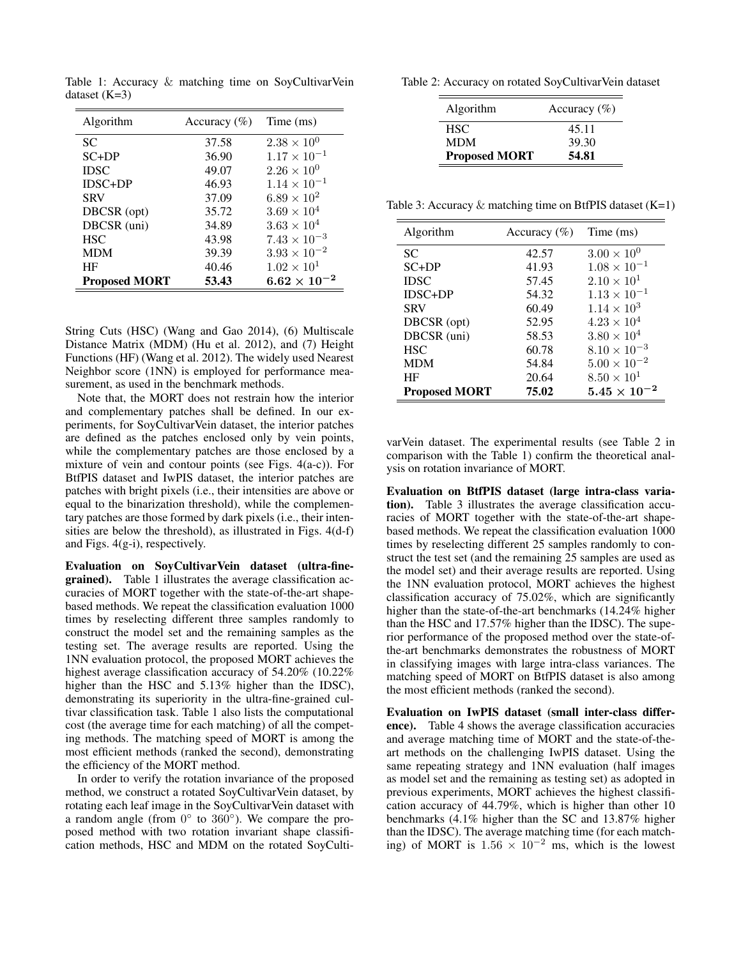| Algorithm            | Accuracy $(\%)$ | Time (ms)             |
|----------------------|-----------------|-----------------------|
| <b>SC</b>            | 37.58           | $2.38 \times 10^{0}$  |
| $SC+DP$              | 36.90           | $1.17 \times 10^{-1}$ |
| <b>IDSC</b>          | 49.07           | $2.26 \times 10^{0}$  |
| $IDSC+DP$            | 46.93           | $1.14 \times 10^{-1}$ |
| <b>SRV</b>           | 37.09           | $6.89 \times 10^{2}$  |
| DBCSR (opt)          | 35.72           | $3.69 \times 10^{4}$  |
| DBCSR (uni)          | 34.89           | $3.63 \times 10^{4}$  |
| <b>HSC</b>           | 43.98           | $7.43 \times 10^{-3}$ |
| <b>MDM</b>           | 39.39           | $3.93 \times 10^{-2}$ |
| HF                   | 40.46           | $1.02 \times 10^{1}$  |
| <b>Proposed MORT</b> | 53.43           | $6.62\times10^{-2}$   |

Table 1: Accuracy & matching time on SoyCultivarVein dataset  $(K=3)$ 

String Cuts (HSC) (Wang and Gao 2014), (6) Multiscale Distance Matrix (MDM) (Hu et al. 2012), and (7) Height Functions (HF) (Wang et al. 2012). The widely used Nearest Neighbor score (1NN) is employed for performance measurement, as used in the benchmark methods.

Note that, the MORT does not restrain how the interior and complementary patches shall be defined. In our experiments, for SoyCultivarVein dataset, the interior patches are defined as the patches enclosed only by vein points, while the complementary patches are those enclosed by a mixture of vein and contour points (see Figs. 4(a-c)). For BtfPIS dataset and IwPIS dataset, the interior patches are patches with bright pixels (i.e., their intensities are above or equal to the binarization threshold), while the complementary patches are those formed by dark pixels (i.e., their intensities are below the threshold), as illustrated in Figs. 4(d-f) and Figs. 4(g-i), respectively.

Evaluation on SoyCultivarVein dataset (ultra-finegrained). Table 1 illustrates the average classification accuracies of MORT together with the state-of-the-art shapebased methods. We repeat the classification evaluation 1000 times by reselecting different three samples randomly to construct the model set and the remaining samples as the testing set. The average results are reported. Using the 1NN evaluation protocol, the proposed MORT achieves the highest average classification accuracy of 54.20% (10.22% higher than the HSC and 5.13% higher than the IDSC), demonstrating its superiority in the ultra-fine-grained cultivar classification task. Table 1 also lists the computational cost (the average time for each matching) of all the competing methods. The matching speed of MORT is among the most efficient methods (ranked the second), demonstrating the efficiency of the MORT method.

In order to verify the rotation invariance of the proposed method, we construct a rotated SoyCultivarVein dataset, by rotating each leaf image in the SoyCultivarVein dataset with a random angle (from  $0^\circ$  to  $360^\circ$ ). We compare the proposed method with two rotation invariant shape classification methods, HSC and MDM on the rotated SoyCulti-

Table 2: Accuracy on rotated SoyCultivarVein dataset

| Algorithm            | Accuracy $(\%)$ |
|----------------------|-----------------|
| HSC.                 | 45.11           |
| <b>MDM</b>           | 39.30           |
| <b>Proposed MORT</b> | 54.81           |

Table 3: Accuracy  $\&$  matching time on BtfPIS dataset (K=1)

| Algorithm            | Accuracy $(\% )$ | Time (ms)             |
|----------------------|------------------|-----------------------|
| <b>SC</b>            | 42.57            | $3.00 \times 10^{0}$  |
| $SC+DP$              | 41.93            | $1.08 \times 10^{-1}$ |
| <b>IDSC</b>          | 57.45            | $2.10 \times 10^{1}$  |
| $IDSC+DP$            | 54.32            | $1.13 \times 10^{-1}$ |
| <b>SRV</b>           | 60.49            | $1.14 \times 10^{3}$  |
| DBCSR (opt)          | 52.95            | $4.23 \times 10^{4}$  |
| DBCSR (uni)          | 58.53            | $3.80 \times 10^{4}$  |
| <b>HSC</b>           | 60.78            | $8.10 \times 10^{-3}$ |
| <b>MDM</b>           | 54.84            | $5.00 \times 10^{-2}$ |
| HF                   | 20.64            | $8.50 \times 10^{1}$  |
| <b>Proposed MORT</b> | 75.02            | $5.45\times10^{-2}$   |

varVein dataset. The experimental results (see Table 2 in comparison with the Table 1) confirm the theoretical analysis on rotation invariance of MORT.

Evaluation on BtfPIS dataset (large intra-class variation). Table 3 illustrates the average classification accuracies of MORT together with the state-of-the-art shapebased methods. We repeat the classification evaluation 1000 times by reselecting different 25 samples randomly to construct the test set (and the remaining 25 samples are used as the model set) and their average results are reported. Using the 1NN evaluation protocol, MORT achieves the highest classification accuracy of 75.02%, which are significantly higher than the state-of-the-art benchmarks (14.24% higher than the HSC and 17.57% higher than the IDSC). The superior performance of the proposed method over the state-ofthe-art benchmarks demonstrates the robustness of MORT in classifying images with large intra-class variances. The matching speed of MORT on BtfPIS dataset is also among the most efficient methods (ranked the second).

Evaluation on IwPIS dataset (small inter-class difference). Table 4 shows the average classification accuracies and average matching time of MORT and the state-of-theart methods on the challenging IwPIS dataset. Using the same repeating strategy and 1NN evaluation (half images as model set and the remaining as testing set) as adopted in previous experiments, MORT achieves the highest classification accuracy of 44.79%, which is higher than other 10 benchmarks (4.1% higher than the SC and 13.87% higher than the IDSC). The average matching time (for each matching) of MORT is  $1.56 \times 10^{-2}$  ms, which is the lowest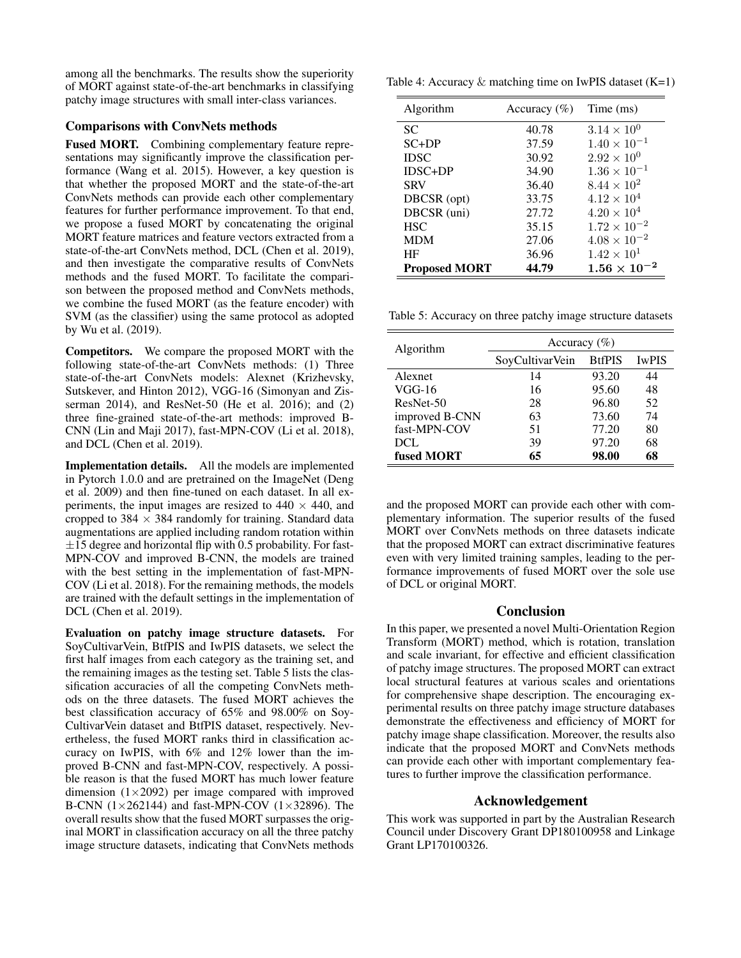among all the benchmarks. The results show the superiority of MORT against state-of-the-art benchmarks in classifying patchy image structures with small inter-class variances.

## Comparisons with ConvNets methods

Fused MORT. Combining complementary feature representations may significantly improve the classification performance (Wang et al. 2015). However, a key question is that whether the proposed MORT and the state-of-the-art ConvNets methods can provide each other complementary features for further performance improvement. To that end, we propose a fused MORT by concatenating the original MORT feature matrices and feature vectors extracted from a state-of-the-art ConvNets method, DCL (Chen et al. 2019), and then investigate the comparative results of ConvNets methods and the fused MORT. To facilitate the comparison between the proposed method and ConvNets methods, we combine the fused MORT (as the feature encoder) with SVM (as the classifier) using the same protocol as adopted by Wu et al. (2019).

Competitors. We compare the proposed MORT with the following state-of-the-art ConvNets methods: (1) Three state-of-the-art ConvNets models: Alexnet (Krizhevsky, Sutskever, and Hinton 2012), VGG-16 (Simonyan and Zisserman 2014), and ResNet-50 (He et al. 2016); and (2) three fine-grained state-of-the-art methods: improved B-CNN (Lin and Maji 2017), fast-MPN-COV (Li et al. 2018), and DCL (Chen et al. 2019).

Implementation details. All the models are implemented in Pytorch 1.0.0 and are pretrained on the ImageNet (Deng et al. 2009) and then fine-tuned on each dataset. In all experiments, the input images are resized to  $440 \times 440$ , and cropped to  $384 \times 384$  randomly for training. Standard data augmentations are applied including random rotation within  $\pm 15$  degree and horizontal flip with 0.5 probability. For fast-MPN-COV and improved B-CNN, the models are trained with the best setting in the implementation of fast-MPN-COV (Li et al. 2018). For the remaining methods, the models are trained with the default settings in the implementation of DCL (Chen et al. 2019).

Evaluation on patchy image structure datasets. For SoyCultivarVein, BtfPIS and IwPIS datasets, we select the first half images from each category as the training set, and the remaining images as the testing set. Table 5 lists the classification accuracies of all the competing ConvNets methods on the three datasets. The fused MORT achieves the best classification accuracy of 65% and 98.00% on Soy-CultivarVein dataset and BtfPIS dataset, respectively. Nevertheless, the fused MORT ranks third in classification accuracy on IwPIS, with 6% and 12% lower than the improved B-CNN and fast-MPN-COV, respectively. A possible reason is that the fused MORT has much lower feature dimension  $(1\times2092)$  per image compared with improved B-CNN  $(1 \times 262144)$  and fast-MPN-COV  $(1 \times 32896)$ . The overall results show that the fused MORT surpasses the original MORT in classification accuracy on all the three patchy image structure datasets, indicating that ConvNets methods

Table 4: Accuracy  $\&$  matching time on IwPIS dataset (K=1)

| Algorithm            | Accuracy $(\% )$ | Time (ms)             |
|----------------------|------------------|-----------------------|
| <b>SC</b>            | 40.78            | $3.14 \times 10^{0}$  |
| $SC+DP$              | 37.59            | $1.40 \times 10^{-1}$ |
| <b>IDSC</b>          | 30.92            | $2.92 \times 10^{0}$  |
| $IDSC+DP$            | 34.90            | $1.36 \times 10^{-1}$ |
| <b>SRV</b>           | 36.40            | $8.44 \times 10^{2}$  |
| DBCSR (opt)          | 33.75            | $4.12 \times 10^{4}$  |
| DBCSR (uni)          | 27.72            | $4.20 \times 10^{4}$  |
| <b>HSC</b>           | 35.15            | $1.72 \times 10^{-2}$ |
| <b>MDM</b>           | 27.06            | $4.08 \times 10^{-2}$ |
| HF                   | 36.96            | $1.42 \times 10^{1}$  |
| <b>Proposed MORT</b> | 44.79            | $1.56\times10^{-2}$   |

Table 5: Accuracy on three patchy image structure datasets

| Algorithm      | Accuracy $(\%)$ |               |              |
|----------------|-----------------|---------------|--------------|
|                | SoyCultivarVein | <b>BtfPIS</b> | <b>IwPIS</b> |
| Alexnet        | 14              | 93.20         | 44           |
| $VGG-16$       | 16              | 95.60         | 48           |
| ResNet-50      | 28              | 96.80         | 52           |
| improved B-CNN | 63              | 73.60         | 74           |
| fast-MPN-COV   | 51              | 77.20         | 80           |
| DCL            | 39              | 97.20         | 68           |
| fused MORT     | 65              | 98.00         | 68           |

and the proposed MORT can provide each other with complementary information. The superior results of the fused MORT over ConvNets methods on three datasets indicate that the proposed MORT can extract discriminative features even with very limited training samples, leading to the performance improvements of fused MORT over the sole use of DCL or original MORT.

### Conclusion

In this paper, we presented a novel Multi-Orientation Region Transform (MORT) method, which is rotation, translation and scale invariant, for effective and efficient classification of patchy image structures. The proposed MORT can extract local structural features at various scales and orientations for comprehensive shape description. The encouraging experimental results on three patchy image structure databases demonstrate the effectiveness and efficiency of MORT for patchy image shape classification. Moreover, the results also indicate that the proposed MORT and ConvNets methods can provide each other with important complementary features to further improve the classification performance.

### Acknowledgement

This work was supported in part by the Australian Research Council under Discovery Grant DP180100958 and Linkage Grant LP170100326.